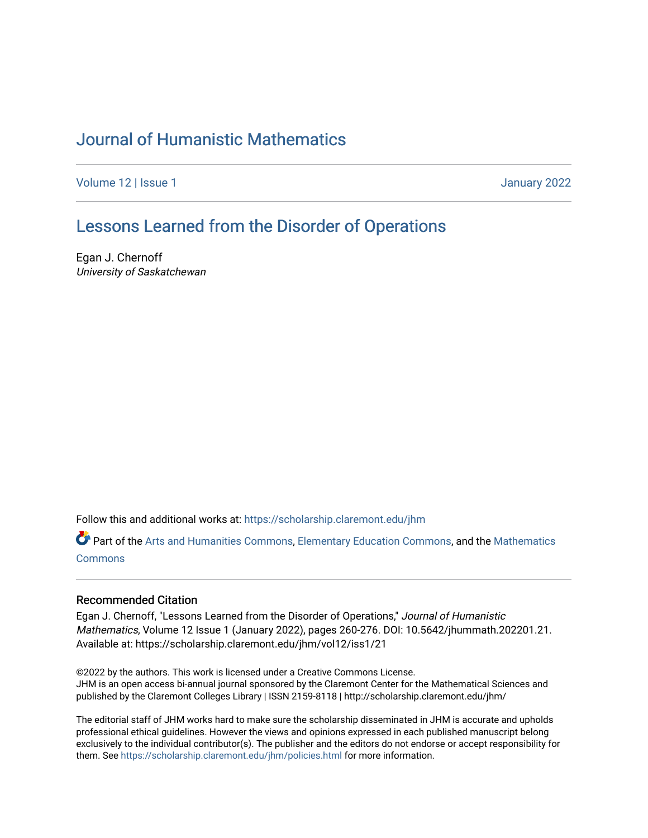# [Journal of Humanistic Mathematics](https://scholarship.claremont.edu/jhm)

[Volume 12](https://scholarship.claremont.edu/jhm/vol12) | Issue 1 January 2022

## [Lessons Learned from the Disorder of Operations](https://scholarship.claremont.edu/jhm/vol12/iss1/21)

Egan J. Chernoff University of Saskatchewan

Follow this and additional works at: [https://scholarship.claremont.edu/jhm](https://scholarship.claremont.edu/jhm?utm_source=scholarship.claremont.edu%2Fjhm%2Fvol12%2Fiss1%2F21&utm_medium=PDF&utm_campaign=PDFCoverPages)

Part of the [Arts and Humanities Commons,](http://network.bepress.com/hgg/discipline/438?utm_source=scholarship.claremont.edu%2Fjhm%2Fvol12%2Fiss1%2F21&utm_medium=PDF&utm_campaign=PDFCoverPages) [Elementary Education Commons,](http://network.bepress.com/hgg/discipline/1378?utm_source=scholarship.claremont.edu%2Fjhm%2Fvol12%2Fiss1%2F21&utm_medium=PDF&utm_campaign=PDFCoverPages) and the [Mathematics](http://network.bepress.com/hgg/discipline/174?utm_source=scholarship.claremont.edu%2Fjhm%2Fvol12%2Fiss1%2F21&utm_medium=PDF&utm_campaign=PDFCoverPages) [Commons](http://network.bepress.com/hgg/discipline/174?utm_source=scholarship.claremont.edu%2Fjhm%2Fvol12%2Fiss1%2F21&utm_medium=PDF&utm_campaign=PDFCoverPages)

### Recommended Citation

Egan J. Chernoff, "Lessons Learned from the Disorder of Operations," Journal of Humanistic Mathematics, Volume 12 Issue 1 (January 2022), pages 260-276. DOI: 10.5642/jhummath.202201.21. Available at: https://scholarship.claremont.edu/jhm/vol12/iss1/21

©2022 by the authors. This work is licensed under a Creative Commons License. JHM is an open access bi-annual journal sponsored by the Claremont Center for the Mathematical Sciences and published by the Claremont Colleges Library | ISSN 2159-8118 | http://scholarship.claremont.edu/jhm/

The editorial staff of JHM works hard to make sure the scholarship disseminated in JHM is accurate and upholds professional ethical guidelines. However the views and opinions expressed in each published manuscript belong exclusively to the individual contributor(s). The publisher and the editors do not endorse or accept responsibility for them. See<https://scholarship.claremont.edu/jhm/policies.html> for more information.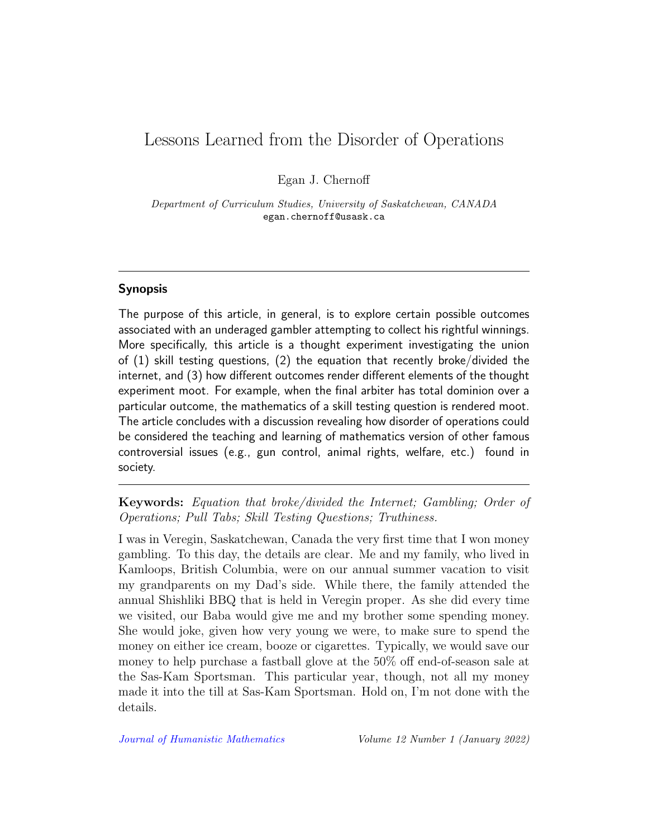## Lessons Learned from the Disorder of Operations

Egan J. Chernoff

Department of Curriculum Studies, University of Saskatchewan, CANADA egan.chernoff@usask.ca

## Synopsis

The purpose of this article, in general, is to explore certain possible outcomes associated with an underaged gambler attempting to collect his rightful winnings. More specifically, this article is a thought experiment investigating the union of (1) skill testing questions, (2) the equation that recently broke/divided the internet, and (3) how different outcomes render different elements of the thought experiment moot. For example, when the final arbiter has total dominion over a particular outcome, the mathematics of a skill testing question is rendered moot. The article concludes with a discussion revealing how disorder of operations could be considered the teaching and learning of mathematics version of other famous controversial issues (e.g., gun control, animal rights, welfare, etc.) found in society.

Keywords: Equation that broke/divided the Internet; Gambling; Order of Operations; Pull Tabs; Skill Testing Questions; Truthiness.

I was in Veregin, Saskatchewan, Canada the very first time that I won money gambling. To this day, the details are clear. Me and my family, who lived in Kamloops, British Columbia, were on our annual summer vacation to visit my grandparents on my Dad's side. While there, the family attended the annual Shishliki BBQ that is held in Veregin proper. As she did every time we visited, our Baba would give me and my brother some spending money. She would joke, given how very young we were, to make sure to spend the money on either ice cream, booze or cigarettes. Typically, we would save our money to help purchase a fastball glove at the 50% off end-of-season sale at the Sas-Kam Sportsman. This particular year, though, not all my money made it into the till at Sas-Kam Sportsman. Hold on, I'm not done with the details.

[Journal of Humanistic Mathematics](http://scholarship.claremont.edu/jhm/) Volume 12 Number 1 (January 2022)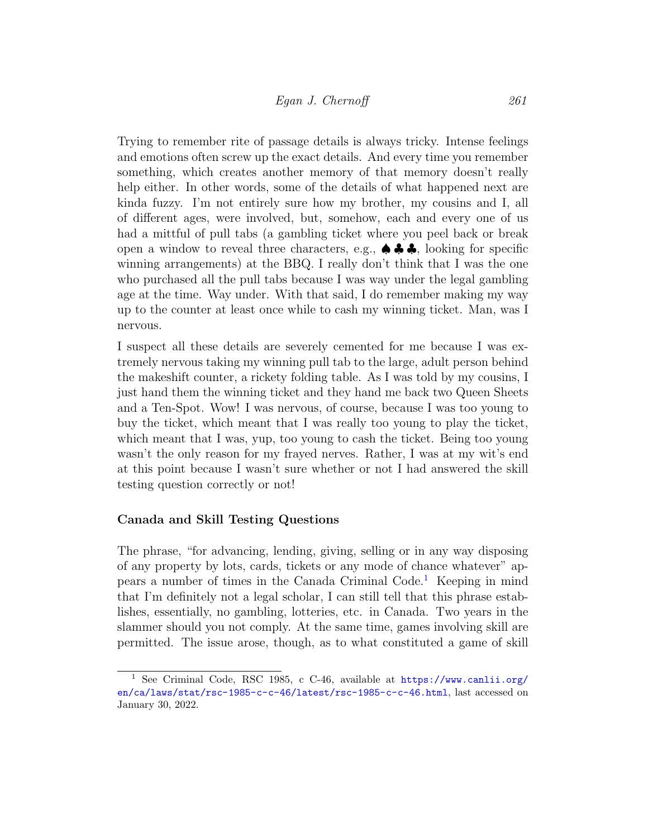Trying to remember rite of passage details is always tricky. Intense feelings and emotions often screw up the exact details. And every time you remember something, which creates another memory of that memory doesn't really help either. In other words, some of the details of what happened next are kinda fuzzy. I'm not entirely sure how my brother, my cousins and I, all of different ages, were involved, but, somehow, each and every one of us had a mittful of pull tabs (a gambling ticket where you peel back or break open a window to reveal three characters, e.g.,  $\spadesuit \clubsuit \clubsuit$ , looking for specific winning arrangements) at the BBQ. I really don't think that I was the one who purchased all the pull tabs because I was way under the legal gambling age at the time. Way under. With that said, I do remember making my way up to the counter at least once while to cash my winning ticket. Man, was I nervous.

I suspect all these details are severely cemented for me because I was extremely nervous taking my winning pull tab to the large, adult person behind the makeshift counter, a rickety folding table. As I was told by my cousins, I just hand them the winning ticket and they hand me back two Queen Sheets and a Ten-Spot. Wow! I was nervous, of course, because I was too young to buy the ticket, which meant that I was really too young to play the ticket, which meant that I was, yup, too young to cash the ticket. Being too young wasn't the only reason for my frayed nerves. Rather, I was at my wit's end at this point because I wasn't sure whether or not I had answered the skill testing question correctly or not!

#### Canada and Skill Testing Questions

The phrase, "for advancing, lending, giving, selling or in any way disposing of any property by lots, cards, tickets or any mode of chance whatever" appears a number of times in the Canada Criminal Code.[1](#page-2-0) Keeping in mind that I'm definitely not a legal scholar, I can still tell that this phrase establishes, essentially, no gambling, lotteries, etc. in Canada. Two years in the slammer should you not comply. At the same time, games involving skill are permitted. The issue arose, though, as to what constituted a game of skill

<span id="page-2-0"></span><sup>&</sup>lt;sup>1</sup> See Criminal Code, RSC 1985, c C-46, available at [https://www.canlii.org/](https://www.canlii.org/en/ca/laws/stat/rsc-1985-c-c-46/latest/rsc-1985-c-c-46.html) [en/ca/laws/stat/rsc-1985-c-c-46/latest/rsc-1985-c-c-46.html](https://www.canlii.org/en/ca/laws/stat/rsc-1985-c-c-46/latest/rsc-1985-c-c-46.html), last accessed on January 30, 2022.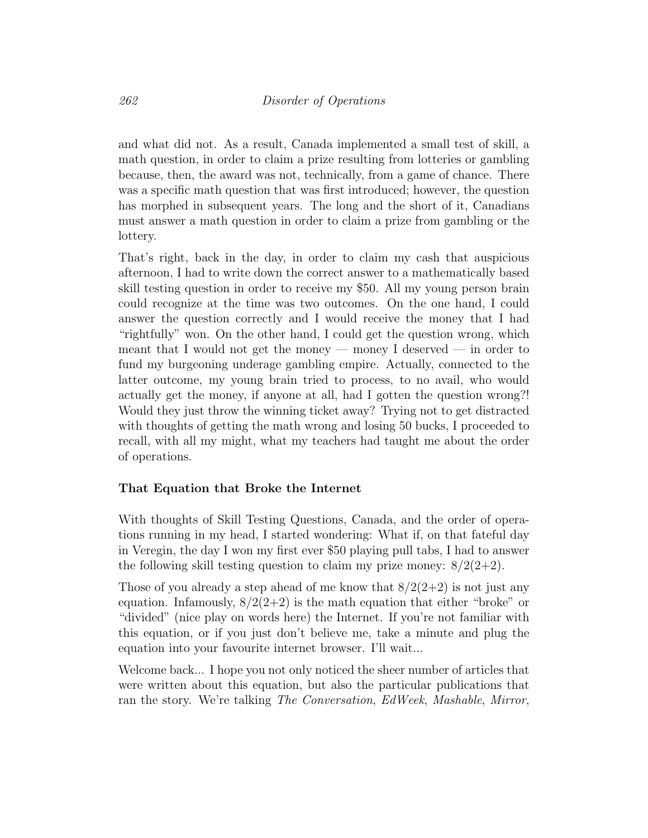and what did not. As a result, Canada implemented a small test of skill, a math question, in order to claim a prize resulting from lotteries or gambling because, then, the award was not, technically, from a game of chance. There was a specific math question that was first introduced; however, the question has morphed in subsequent years. The long and the short of it, Canadians must answer a math question in order to claim a prize from gambling or the lottery.

That's right, back in the day, in order to claim my cash that auspicious afternoon, I had to write down the correct answer to a mathematically based skill testing question in order to receive my \$50. All my young person brain could recognize at the time was two outcomes. On the one hand, I could answer the question correctly and I would receive the money that I had "rightfully" won. On the other hand, I could get the question wrong, which meant that I would not get the money — money I deserved — in order to fund my burgeoning underage gambling empire. Actually, connected to the latter outcome, my young brain tried to process, to no avail, who would actually get the money, if anyone at all, had I gotten the question wrong?! Would they just throw the winning ticket away? Trying not to get distracted with thoughts of getting the math wrong and losing 50 bucks, I proceeded to recall, with all my might, what my teachers had taught me about the order of operations.

#### That Equation that Broke the Internet

With thoughts of Skill Testing Questions, Canada, and the order of operations running in my head, I started wondering: What if, on that fateful day in Veregin, the day I won my first ever \$50 playing pull tabs, I had to answer the following skill testing question to claim my prize money:  $8/2(2+2)$ .

Those of you already a step ahead of me know that  $8/2(2+2)$  is not just any equation. Infamously,  $8/2(2+2)$  is the math equation that either "broke" or "divided" (nice play on words here) the Internet. If you're not familiar with this equation, or if you just don't believe me, take a minute and plug the equation into your favourite internet browser. I'll wait...

Welcome back... I hope you not only noticed the sheer number of articles that were written about this equation, but also the particular publications that ran the story. We're talking The Conversation, EdWeek, Mashable, Mirror,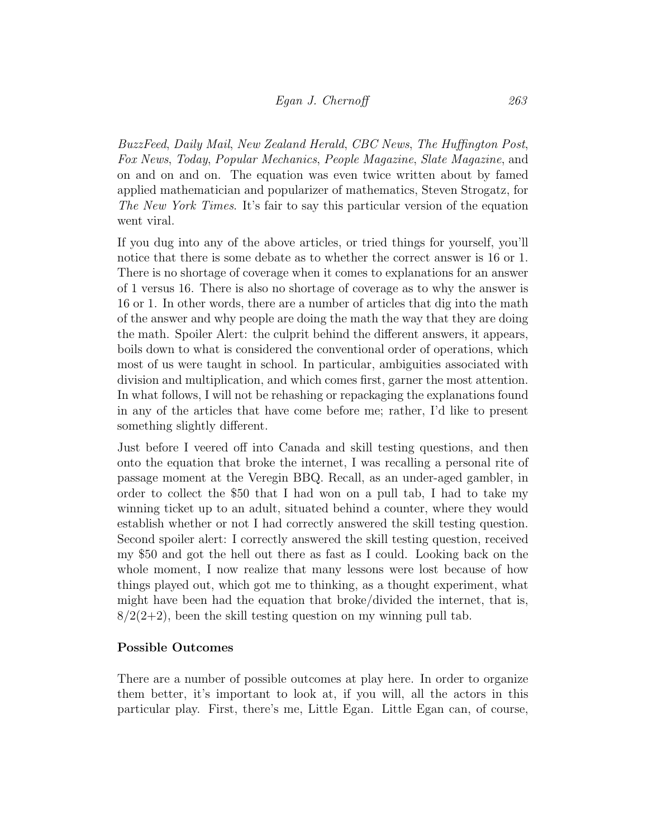## Egan J. Chernoff 263

BuzzFeed, Daily Mail, New Zealand Herald, CBC News, The Huffington Post, Fox News, Today, Popular Mechanics, People Magazine, Slate Magazine, and on and on and on. The equation was even twice written about by famed applied mathematician and popularizer of mathematics, Steven Strogatz, for The New York Times. It's fair to say this particular version of the equation went viral.

If you dug into any of the above articles, or tried things for yourself, you'll notice that there is some debate as to whether the correct answer is 16 or 1. There is no shortage of coverage when it comes to explanations for an answer of 1 versus 16. There is also no shortage of coverage as to why the answer is 16 or 1. In other words, there are a number of articles that dig into the math of the answer and why people are doing the math the way that they are doing the math. Spoiler Alert: the culprit behind the different answers, it appears, boils down to what is considered the conventional order of operations, which most of us were taught in school. In particular, ambiguities associated with division and multiplication, and which comes first, garner the most attention. In what follows, I will not be rehashing or repackaging the explanations found in any of the articles that have come before me; rather, I'd like to present something slightly different.

Just before I veered off into Canada and skill testing questions, and then onto the equation that broke the internet, I was recalling a personal rite of passage moment at the Veregin BBQ. Recall, as an under-aged gambler, in order to collect the \$50 that I had won on a pull tab, I had to take my winning ticket up to an adult, situated behind a counter, where they would establish whether or not I had correctly answered the skill testing question. Second spoiler alert: I correctly answered the skill testing question, received my \$50 and got the hell out there as fast as I could. Looking back on the whole moment, I now realize that many lessons were lost because of how things played out, which got me to thinking, as a thought experiment, what might have been had the equation that broke/divided the internet, that is,  $8/2(2+2)$ , been the skill testing question on my winning pull tab.

#### Possible Outcomes

There are a number of possible outcomes at play here. In order to organize them better, it's important to look at, if you will, all the actors in this particular play. First, there's me, Little Egan. Little Egan can, of course,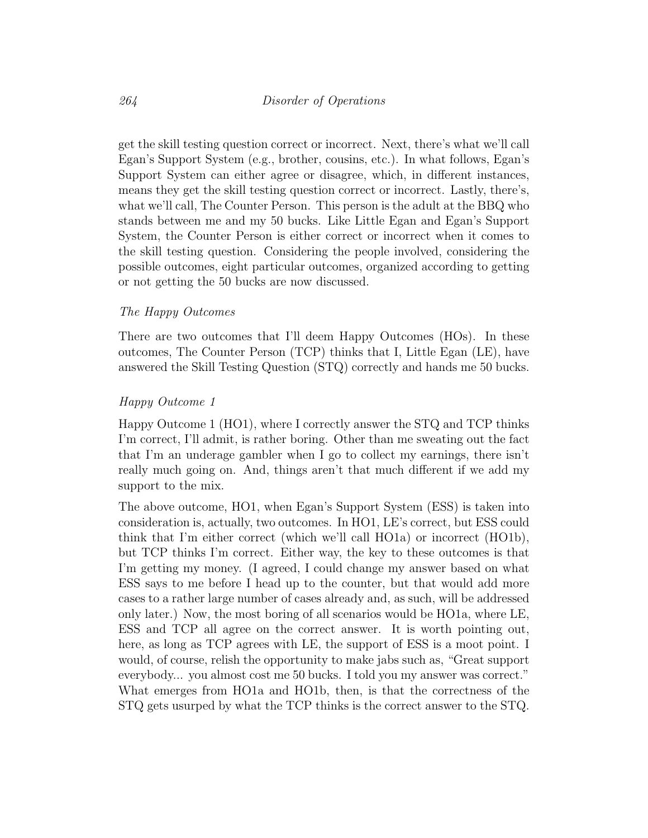get the skill testing question correct or incorrect. Next, there's what we'll call Egan's Support System (e.g., brother, cousins, etc.). In what follows, Egan's Support System can either agree or disagree, which, in different instances, means they get the skill testing question correct or incorrect. Lastly, there's, what we'll call, The Counter Person. This person is the adult at the BBQ who stands between me and my 50 bucks. Like Little Egan and Egan's Support System, the Counter Person is either correct or incorrect when it comes to the skill testing question. Considering the people involved, considering the possible outcomes, eight particular outcomes, organized according to getting or not getting the 50 bucks are now discussed.

#### The Happy Outcomes

There are two outcomes that I'll deem Happy Outcomes (HOs). In these outcomes, The Counter Person (TCP) thinks that I, Little Egan (LE), have answered the Skill Testing Question (STQ) correctly and hands me 50 bucks.

#### Happy Outcome 1

Happy Outcome 1 (HO1), where I correctly answer the STQ and TCP thinks I'm correct, I'll admit, is rather boring. Other than me sweating out the fact that I'm an underage gambler when I go to collect my earnings, there isn't really much going on. And, things aren't that much different if we add my support to the mix.

The above outcome, HO1, when Egan's Support System (ESS) is taken into consideration is, actually, two outcomes. In HO1, LE's correct, but ESS could think that I'm either correct (which we'll call HO1a) or incorrect (HO1b), but TCP thinks I'm correct. Either way, the key to these outcomes is that I'm getting my money. (I agreed, I could change my answer based on what ESS says to me before I head up to the counter, but that would add more cases to a rather large number of cases already and, as such, will be addressed only later.) Now, the most boring of all scenarios would be HO1a, where LE, ESS and TCP all agree on the correct answer. It is worth pointing out, here, as long as TCP agrees with LE, the support of ESS is a moot point. I would, of course, relish the opportunity to make jabs such as, "Great support everybody... you almost cost me 50 bucks. I told you my answer was correct." What emerges from HO1a and HO1b, then, is that the correctness of the STQ gets usurped by what the TCP thinks is the correct answer to the STQ.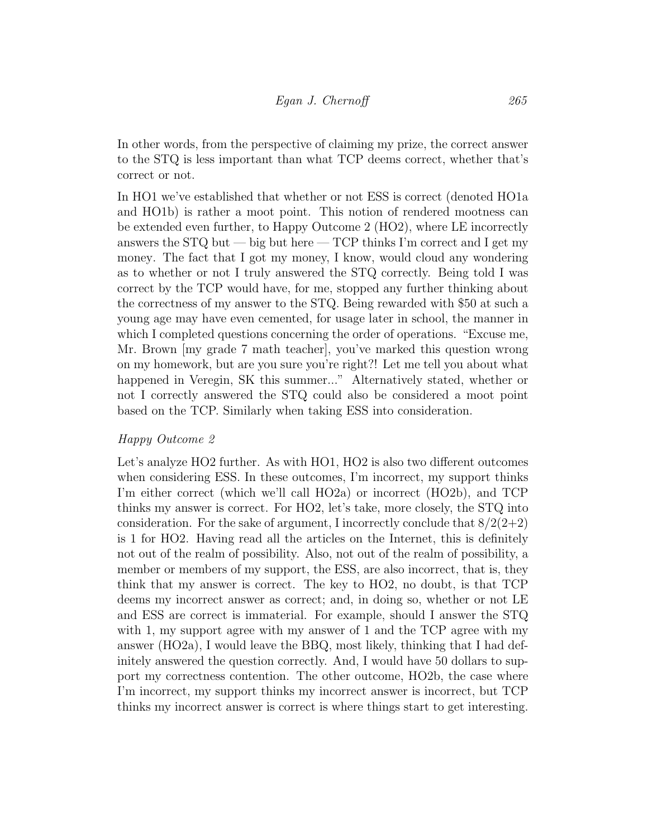In other words, from the perspective of claiming my prize, the correct answer to the STQ is less important than what TCP deems correct, whether that's correct or not.

In HO1 we've established that whether or not ESS is correct (denoted HO1a and HO1b) is rather a moot point. This notion of rendered mootness can be extended even further, to Happy Outcome 2 (HO2), where LE incorrectly answers the  $STQ$  but — big but here — TCP thinks I'm correct and I get my money. The fact that I got my money, I know, would cloud any wondering as to whether or not I truly answered the STQ correctly. Being told I was correct by the TCP would have, for me, stopped any further thinking about the correctness of my answer to the STQ. Being rewarded with \$50 at such a young age may have even cemented, for usage later in school, the manner in which I completed questions concerning the order of operations. "Excuse me, Mr. Brown [my grade 7 math teacher], you've marked this question wrong on my homework, but are you sure you're right?! Let me tell you about what happened in Veregin, SK this summer..." Alternatively stated, whether or not I correctly answered the STQ could also be considered a moot point based on the TCP. Similarly when taking ESS into consideration.

#### Happy Outcome 2

Let's analyze HO2 further. As with HO1, HO2 is also two different outcomes when considering ESS. In these outcomes, I'm incorrect, my support thinks I'm either correct (which we'll call HO2a) or incorrect (HO2b), and TCP thinks my answer is correct. For HO2, let's take, more closely, the STQ into consideration. For the sake of argument, I incorrectly conclude that  $8/2(2+2)$ is 1 for HO2. Having read all the articles on the Internet, this is definitely not out of the realm of possibility. Also, not out of the realm of possibility, a member or members of my support, the ESS, are also incorrect, that is, they think that my answer is correct. The key to HO2, no doubt, is that TCP deems my incorrect answer as correct; and, in doing so, whether or not LE and ESS are correct is immaterial. For example, should I answer the STQ with 1, my support agree with my answer of 1 and the TCP agree with my answer (HO2a), I would leave the BBQ, most likely, thinking that I had definitely answered the question correctly. And, I would have 50 dollars to support my correctness contention. The other outcome, HO2b, the case where I'm incorrect, my support thinks my incorrect answer is incorrect, but TCP thinks my incorrect answer is correct is where things start to get interesting.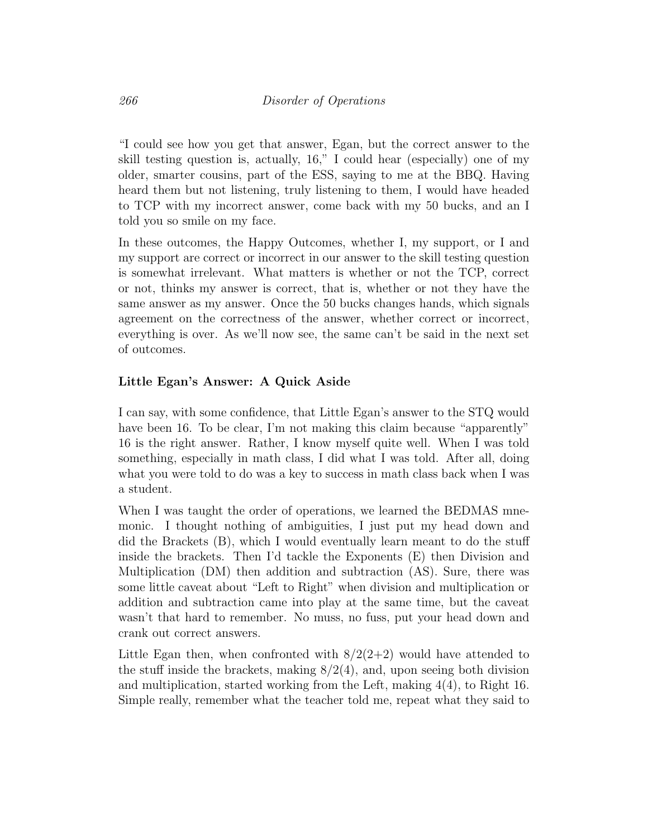"I could see how you get that answer, Egan, but the correct answer to the skill testing question is, actually, 16," I could hear (especially) one of my older, smarter cousins, part of the ESS, saying to me at the BBQ. Having heard them but not listening, truly listening to them, I would have headed to TCP with my incorrect answer, come back with my 50 bucks, and an I told you so smile on my face.

In these outcomes, the Happy Outcomes, whether I, my support, or I and my support are correct or incorrect in our answer to the skill testing question is somewhat irrelevant. What matters is whether or not the TCP, correct or not, thinks my answer is correct, that is, whether or not they have the same answer as my answer. Once the 50 bucks changes hands, which signals agreement on the correctness of the answer, whether correct or incorrect, everything is over. As we'll now see, the same can't be said in the next set of outcomes.

## Little Egan's Answer: A Quick Aside

I can say, with some confidence, that Little Egan's answer to the STQ would have been 16. To be clear, I'm not making this claim because "apparently" 16 is the right answer. Rather, I know myself quite well. When I was told something, especially in math class, I did what I was told. After all, doing what you were told to do was a key to success in math class back when I was a student.

When I was taught the order of operations, we learned the BEDMAS mnemonic. I thought nothing of ambiguities, I just put my head down and did the Brackets (B), which I would eventually learn meant to do the stuff inside the brackets. Then I'd tackle the Exponents (E) then Division and Multiplication (DM) then addition and subtraction (AS). Sure, there was some little caveat about "Left to Right" when division and multiplication or addition and subtraction came into play at the same time, but the caveat wasn't that hard to remember. No muss, no fuss, put your head down and crank out correct answers.

Little Egan then, when confronted with  $8/2(2+2)$  would have attended to the stuff inside the brackets, making  $8/2(4)$ , and, upon seeing both division and multiplication, started working from the Left, making 4(4), to Right 16. Simple really, remember what the teacher told me, repeat what they said to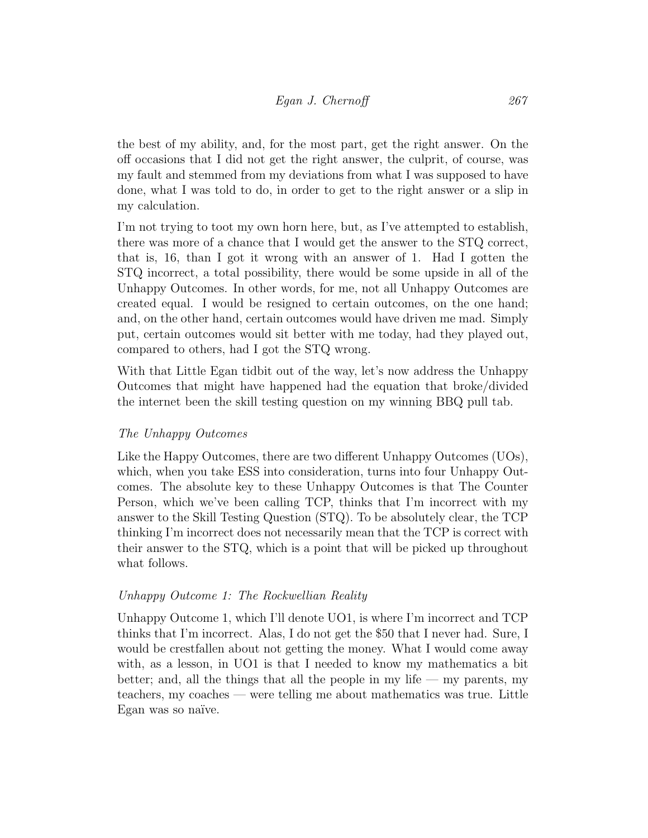the best of my ability, and, for the most part, get the right answer. On the off occasions that I did not get the right answer, the culprit, of course, was my fault and stemmed from my deviations from what I was supposed to have done, what I was told to do, in order to get to the right answer or a slip in my calculation.

I'm not trying to toot my own horn here, but, as I've attempted to establish, there was more of a chance that I would get the answer to the STQ correct, that is, 16, than I got it wrong with an answer of 1. Had I gotten the STQ incorrect, a total possibility, there would be some upside in all of the Unhappy Outcomes. In other words, for me, not all Unhappy Outcomes are created equal. I would be resigned to certain outcomes, on the one hand; and, on the other hand, certain outcomes would have driven me mad. Simply put, certain outcomes would sit better with me today, had they played out, compared to others, had I got the STQ wrong.

With that Little Egan tidbit out of the way, let's now address the Unhappy Outcomes that might have happened had the equation that broke/divided the internet been the skill testing question on my winning BBQ pull tab.

## The Unhappy Outcomes

Like the Happy Outcomes, there are two different Unhappy Outcomes (UOs), which, when you take ESS into consideration, turns into four Unhappy Outcomes. The absolute key to these Unhappy Outcomes is that The Counter Person, which we've been calling TCP, thinks that I'm incorrect with my answer to the Skill Testing Question (STQ). To be absolutely clear, the TCP thinking I'm incorrect does not necessarily mean that the TCP is correct with their answer to the STQ, which is a point that will be picked up throughout what follows.

#### Unhappy Outcome 1: The Rockwellian Reality

Unhappy Outcome 1, which I'll denote UO1, is where I'm incorrect and TCP thinks that I'm incorrect. Alas, I do not get the \$50 that I never had. Sure, I would be crestfallen about not getting the money. What I would come away with, as a lesson, in UO1 is that I needed to know my mathematics a bit better; and, all the things that all the people in my life — my parents, my teachers, my coaches — were telling me about mathematics was true. Little Egan was so naïve.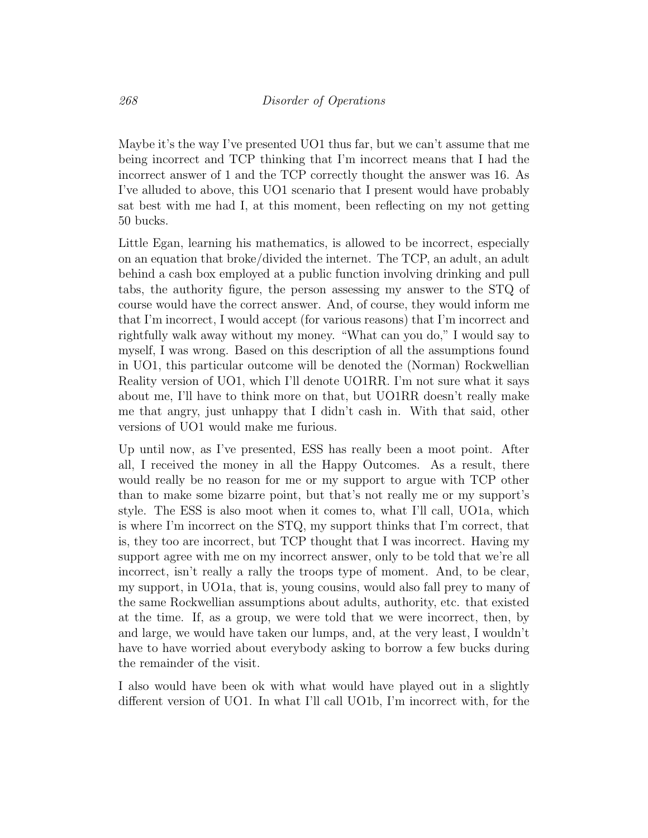Maybe it's the way I've presented UO1 thus far, but we can't assume that me being incorrect and TCP thinking that I'm incorrect means that I had the incorrect answer of 1 and the TCP correctly thought the answer was 16. As I've alluded to above, this UO1 scenario that I present would have probably sat best with me had I, at this moment, been reflecting on my not getting 50 bucks.

Little Egan, learning his mathematics, is allowed to be incorrect, especially on an equation that broke/divided the internet. The TCP, an adult, an adult behind a cash box employed at a public function involving drinking and pull tabs, the authority figure, the person assessing my answer to the STQ of course would have the correct answer. And, of course, they would inform me that I'm incorrect, I would accept (for various reasons) that I'm incorrect and rightfully walk away without my money. "What can you do," I would say to myself, I was wrong. Based on this description of all the assumptions found in UO1, this particular outcome will be denoted the (Norman) Rockwellian Reality version of UO1, which I'll denote UO1RR. I'm not sure what it says about me, I'll have to think more on that, but UO1RR doesn't really make me that angry, just unhappy that I didn't cash in. With that said, other versions of UO1 would make me furious.

Up until now, as I've presented, ESS has really been a moot point. After all, I received the money in all the Happy Outcomes. As a result, there would really be no reason for me or my support to argue with TCP other than to make some bizarre point, but that's not really me or my support's style. The ESS is also moot when it comes to, what I'll call, UO1a, which is where I'm incorrect on the STQ, my support thinks that I'm correct, that is, they too are incorrect, but TCP thought that I was incorrect. Having my support agree with me on my incorrect answer, only to be told that we're all incorrect, isn't really a rally the troops type of moment. And, to be clear, my support, in UO1a, that is, young cousins, would also fall prey to many of the same Rockwellian assumptions about adults, authority, etc. that existed at the time. If, as a group, we were told that we were incorrect, then, by and large, we would have taken our lumps, and, at the very least, I wouldn't have to have worried about everybody asking to borrow a few bucks during the remainder of the visit.

I also would have been ok with what would have played out in a slightly different version of UO1. In what I'll call UO1b, I'm incorrect with, for the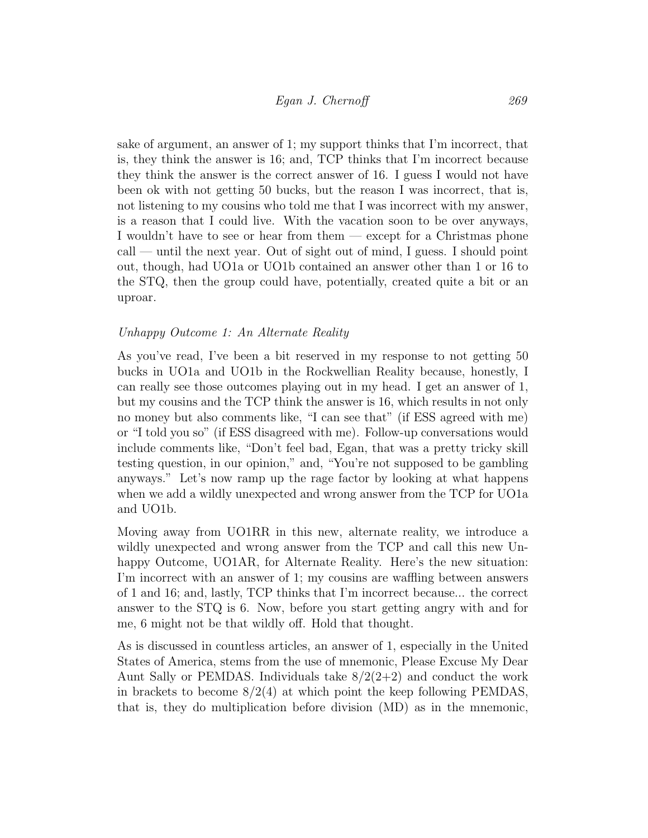sake of argument, an answer of 1; my support thinks that I'm incorrect, that is, they think the answer is 16; and, TCP thinks that I'm incorrect because they think the answer is the correct answer of 16. I guess I would not have been ok with not getting 50 bucks, but the reason I was incorrect, that is, not listening to my cousins who told me that I was incorrect with my answer, is a reason that I could live. With the vacation soon to be over anyways, I wouldn't have to see or hear from them — except for a Christmas phone  $\text{call}$  — until the next year. Out of sight out of mind, I guess. I should point out, though, had UO1a or UO1b contained an answer other than 1 or 16 to the STQ, then the group could have, potentially, created quite a bit or an uproar.

#### Unhappy Outcome 1: An Alternate Reality

As you've read, I've been a bit reserved in my response to not getting 50 bucks in UO1a and UO1b in the Rockwellian Reality because, honestly, I can really see those outcomes playing out in my head. I get an answer of 1, but my cousins and the TCP think the answer is 16, which results in not only no money but also comments like, "I can see that" (if ESS agreed with me) or "I told you so" (if ESS disagreed with me). Follow-up conversations would include comments like, "Don't feel bad, Egan, that was a pretty tricky skill testing question, in our opinion," and, "You're not supposed to be gambling anyways." Let's now ramp up the rage factor by looking at what happens when we add a wildly unexpected and wrong answer from the TCP for UO1a and UO1b.

Moving away from UO1RR in this new, alternate reality, we introduce a wildly unexpected and wrong answer from the TCP and call this new Unhappy Outcome, UO1AR, for Alternate Reality. Here's the new situation: I'm incorrect with an answer of 1; my cousins are waffling between answers of 1 and 16; and, lastly, TCP thinks that I'm incorrect because... the correct answer to the STQ is 6. Now, before you start getting angry with and for me, 6 might not be that wildly off. Hold that thought.

As is discussed in countless articles, an answer of 1, especially in the United States of America, stems from the use of mnemonic, Please Excuse My Dear Aunt Sally or PEMDAS. Individuals take  $8/2(2+2)$  and conduct the work in brackets to become  $8/2(4)$  at which point the keep following PEMDAS, that is, they do multiplication before division (MD) as in the mnemonic,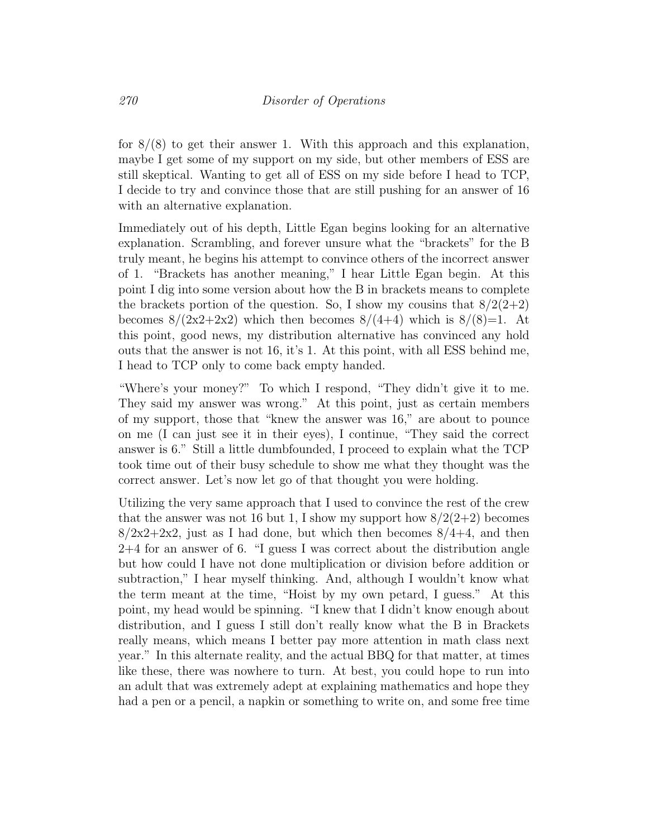for  $8/(8)$  to get their answer 1. With this approach and this explanation, maybe I get some of my support on my side, but other members of ESS are still skeptical. Wanting to get all of ESS on my side before I head to TCP, I decide to try and convince those that are still pushing for an answer of 16 with an alternative explanation.

Immediately out of his depth, Little Egan begins looking for an alternative explanation. Scrambling, and forever unsure what the "brackets" for the B truly meant, he begins his attempt to convince others of the incorrect answer of 1. "Brackets has another meaning," I hear Little Egan begin. At this point I dig into some version about how the B in brackets means to complete the brackets portion of the question. So, I show my cousins that  $8/2(2+2)$ becomes  $8/(2x^2+2x^2)$  which then becomes  $8/(4+4)$  which is  $8/(8)=1$ . At this point, good news, my distribution alternative has convinced any hold outs that the answer is not 16, it's 1. At this point, with all ESS behind me, I head to TCP only to come back empty handed.

"Where's your money?" To which I respond, "They didn't give it to me. They said my answer was wrong." At this point, just as certain members of my support, those that "knew the answer was 16," are about to pounce on me (I can just see it in their eyes), I continue, "They said the correct answer is 6." Still a little dumbfounded, I proceed to explain what the TCP took time out of their busy schedule to show me what they thought was the correct answer. Let's now let go of that thought you were holding.

Utilizing the very same approach that I used to convince the rest of the crew that the answer was not 16 but 1, I show my support how  $8/2(2+2)$  becomes  $8/2x^2+2x^2$ , just as I had done, but which then becomes  $8/4+4$ , and then 2+4 for an answer of 6. "I guess I was correct about the distribution angle but how could I have not done multiplication or division before addition or subtraction," I hear myself thinking. And, although I wouldn't know what the term meant at the time, "Hoist by my own petard, I guess." At this point, my head would be spinning. "I knew that I didn't know enough about distribution, and I guess I still don't really know what the B in Brackets really means, which means I better pay more attention in math class next year." In this alternate reality, and the actual BBQ for that matter, at times like these, there was nowhere to turn. At best, you could hope to run into an adult that was extremely adept at explaining mathematics and hope they had a pen or a pencil, a napkin or something to write on, and some free time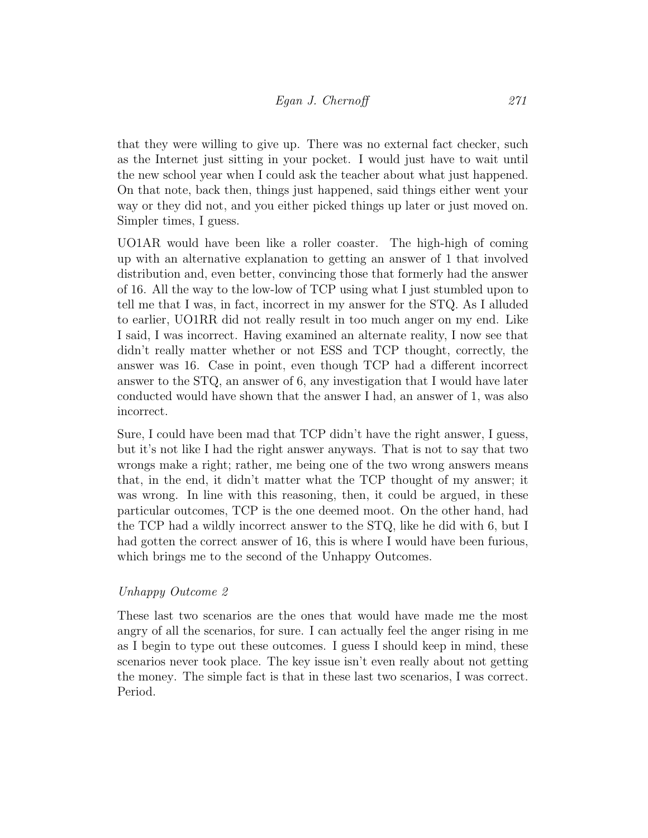that they were willing to give up. There was no external fact checker, such as the Internet just sitting in your pocket. I would just have to wait until the new school year when I could ask the teacher about what just happened. On that note, back then, things just happened, said things either went your way or they did not, and you either picked things up later or just moved on. Simpler times, I guess.

UO1AR would have been like a roller coaster. The high-high of coming up with an alternative explanation to getting an answer of 1 that involved distribution and, even better, convincing those that formerly had the answer of 16. All the way to the low-low of TCP using what I just stumbled upon to tell me that I was, in fact, incorrect in my answer for the STQ. As I alluded to earlier, UO1RR did not really result in too much anger on my end. Like I said, I was incorrect. Having examined an alternate reality, I now see that didn't really matter whether or not ESS and TCP thought, correctly, the answer was 16. Case in point, even though TCP had a different incorrect answer to the STQ, an answer of 6, any investigation that I would have later conducted would have shown that the answer I had, an answer of 1, was also incorrect.

Sure, I could have been mad that TCP didn't have the right answer, I guess, but it's not like I had the right answer anyways. That is not to say that two wrongs make a right; rather, me being one of the two wrong answers means that, in the end, it didn't matter what the TCP thought of my answer; it was wrong. In line with this reasoning, then, it could be argued, in these particular outcomes, TCP is the one deemed moot. On the other hand, had the TCP had a wildly incorrect answer to the STQ, like he did with 6, but I had gotten the correct answer of 16, this is where I would have been furious, which brings me to the second of the Unhappy Outcomes.

## Unhappy Outcome 2

These last two scenarios are the ones that would have made me the most angry of all the scenarios, for sure. I can actually feel the anger rising in me as I begin to type out these outcomes. I guess I should keep in mind, these scenarios never took place. The key issue isn't even really about not getting the money. The simple fact is that in these last two scenarios, I was correct. Period.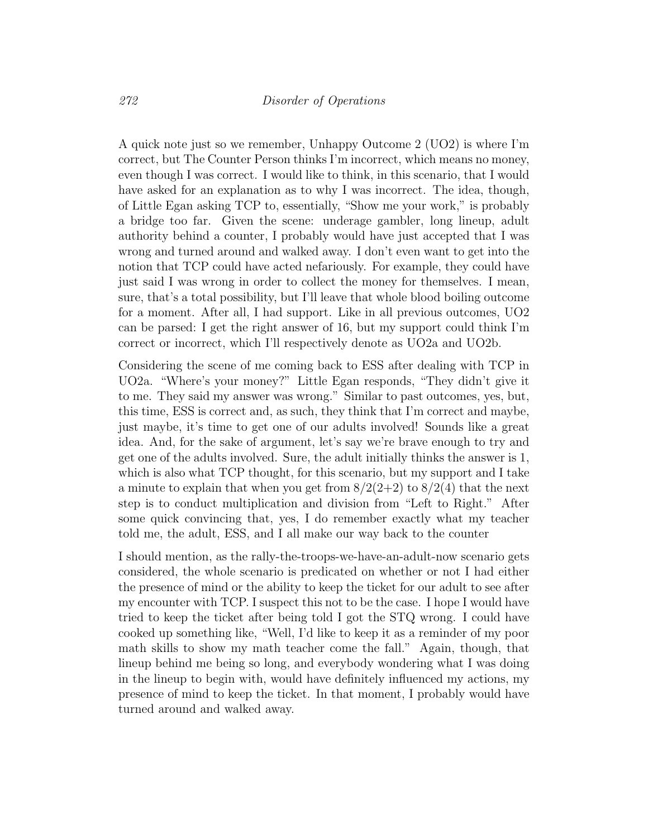A quick note just so we remember, Unhappy Outcome 2 (UO2) is where I'm correct, but The Counter Person thinks I'm incorrect, which means no money, even though I was correct. I would like to think, in this scenario, that I would have asked for an explanation as to why I was incorrect. The idea, though, of Little Egan asking TCP to, essentially, "Show me your work," is probably a bridge too far. Given the scene: underage gambler, long lineup, adult authority behind a counter, I probably would have just accepted that I was wrong and turned around and walked away. I don't even want to get into the notion that TCP could have acted nefariously. For example, they could have just said I was wrong in order to collect the money for themselves. I mean, sure, that's a total possibility, but I'll leave that whole blood boiling outcome for a moment. After all, I had support. Like in all previous outcomes, UO2 can be parsed: I get the right answer of 16, but my support could think I'm correct or incorrect, which I'll respectively denote as UO2a and UO2b.

Considering the scene of me coming back to ESS after dealing with TCP in UO2a. "Where's your money?" Little Egan responds, "They didn't give it to me. They said my answer was wrong." Similar to past outcomes, yes, but, this time, ESS is correct and, as such, they think that I'm correct and maybe, just maybe, it's time to get one of our adults involved! Sounds like a great idea. And, for the sake of argument, let's say we're brave enough to try and get one of the adults involved. Sure, the adult initially thinks the answer is 1, which is also what TCP thought, for this scenario, but my support and I take a minute to explain that when you get from  $8/2(2+2)$  to  $8/2(4)$  that the next step is to conduct multiplication and division from "Left to Right." After some quick convincing that, yes, I do remember exactly what my teacher told me, the adult, ESS, and I all make our way back to the counter

I should mention, as the rally-the-troops-we-have-an-adult-now scenario gets considered, the whole scenario is predicated on whether or not I had either the presence of mind or the ability to keep the ticket for our adult to see after my encounter with TCP. I suspect this not to be the case. I hope I would have tried to keep the ticket after being told I got the STQ wrong. I could have cooked up something like, "Well, I'd like to keep it as a reminder of my poor math skills to show my math teacher come the fall." Again, though, that lineup behind me being so long, and everybody wondering what I was doing in the lineup to begin with, would have definitely influenced my actions, my presence of mind to keep the ticket. In that moment, I probably would have turned around and walked away.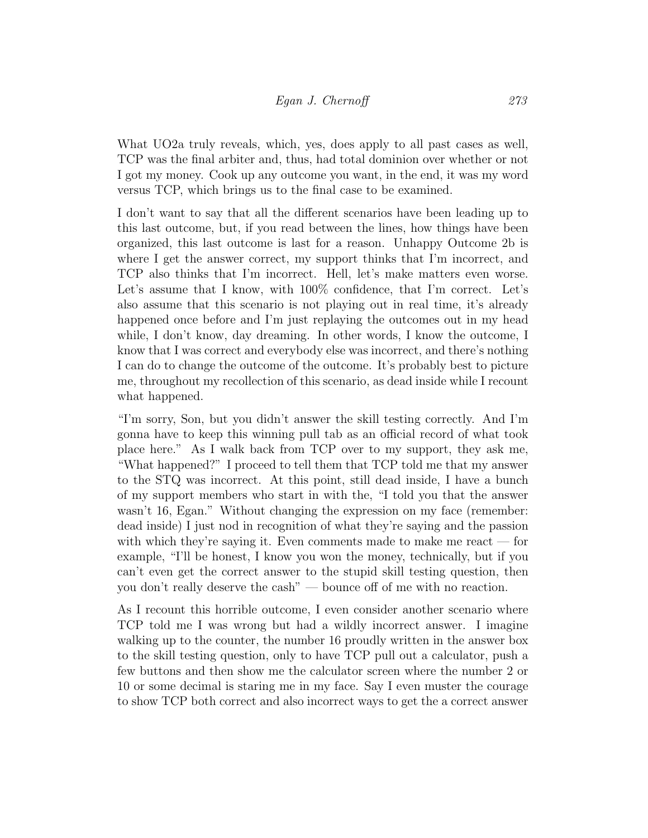What UO2a truly reveals, which, yes, does apply to all past cases as well, TCP was the final arbiter and, thus, had total dominion over whether or not I got my money. Cook up any outcome you want, in the end, it was my word versus TCP, which brings us to the final case to be examined.

I don't want to say that all the different scenarios have been leading up to this last outcome, but, if you read between the lines, how things have been organized, this last outcome is last for a reason. Unhappy Outcome 2b is where I get the answer correct, my support thinks that I'm incorrect, and TCP also thinks that I'm incorrect. Hell, let's make matters even worse. Let's assume that I know, with 100% confidence, that I'm correct. Let's also assume that this scenario is not playing out in real time, it's already happened once before and I'm just replaying the outcomes out in my head while, I don't know, day dreaming. In other words, I know the outcome, I know that I was correct and everybody else was incorrect, and there's nothing I can do to change the outcome of the outcome. It's probably best to picture me, throughout my recollection of this scenario, as dead inside while I recount what happened.

"I'm sorry, Son, but you didn't answer the skill testing correctly. And I'm gonna have to keep this winning pull tab as an official record of what took place here." As I walk back from TCP over to my support, they ask me, "What happened?" I proceed to tell them that TCP told me that my answer to the STQ was incorrect. At this point, still dead inside, I have a bunch of my support members who start in with the, "I told you that the answer wasn't 16, Egan." Without changing the expression on my face (remember: dead inside) I just nod in recognition of what they're saying and the passion with which they're saying it. Even comments made to make me react — for example, "I'll be honest, I know you won the money, technically, but if you can't even get the correct answer to the stupid skill testing question, then you don't really deserve the cash" — bounce off of me with no reaction.

As I recount this horrible outcome, I even consider another scenario where TCP told me I was wrong but had a wildly incorrect answer. I imagine walking up to the counter, the number 16 proudly written in the answer box to the skill testing question, only to have TCP pull out a calculator, push a few buttons and then show me the calculator screen where the number 2 or 10 or some decimal is staring me in my face. Say I even muster the courage to show TCP both correct and also incorrect ways to get the a correct answer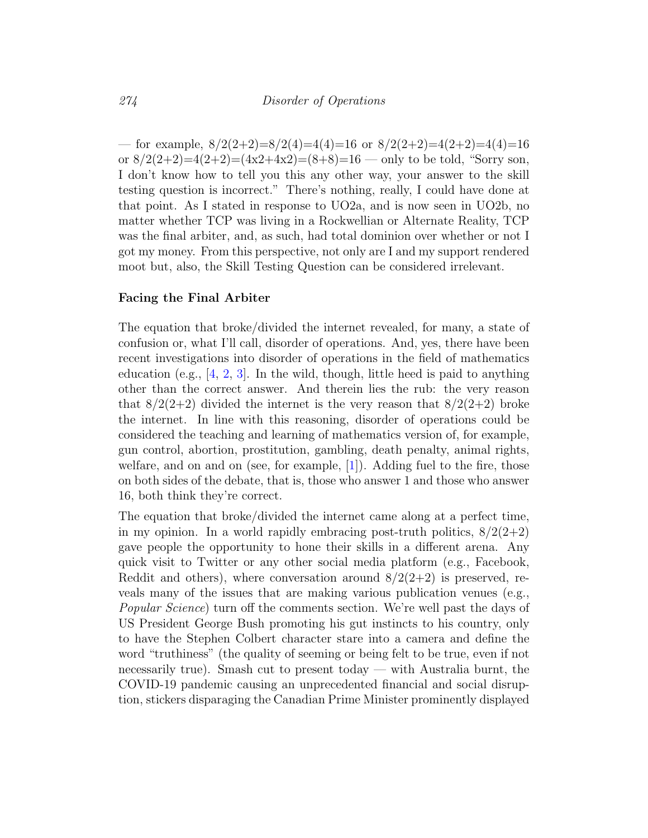— for example,  $8/2(2+2)=8/2(4)=4(4)=16$  or  $8/2(2+2)=4(2+2)=4(4)=16$ or  $8/2(2+2)=4(2+2)=(4x2+4x2)=(8+8)=16$  — only to be told, "Sorry son, I don't know how to tell you this any other way, your answer to the skill testing question is incorrect." There's nothing, really, I could have done at that point. As I stated in response to UO2a, and is now seen in UO2b, no matter whether TCP was living in a Rockwellian or Alternate Reality, TCP was the final arbiter, and, as such, had total dominion over whether or not I got my money. From this perspective, not only are I and my support rendered moot but, also, the Skill Testing Question can be considered irrelevant.

#### Facing the Final Arbiter

The equation that broke/divided the internet revealed, for many, a state of confusion or, what I'll call, disorder of operations. And, yes, there have been recent investigations into disorder of operations in the field of mathematics education (e.g.,  $[4, 2, 3]$  $[4, 2, 3]$  $[4, 2, 3]$  $[4, 2, 3]$  $[4, 2, 3]$ . In the wild, though, little heed is paid to anything other than the correct answer. And therein lies the rub: the very reason that  $8/2(2+2)$  divided the internet is the very reason that  $8/2(2+2)$  broke the internet. In line with this reasoning, disorder of operations could be considered the teaching and learning of mathematics version of, for example, gun control, abortion, prostitution, gambling, death penalty, animal rights, welfare, and on and on (see, for example,  $[1]$ ). Adding fuel to the fire, those on both sides of the debate, that is, those who answer 1 and those who answer 16, both think they're correct.

The equation that broke/divided the internet came along at a perfect time, in my opinion. In a world rapidly embracing post-truth politics,  $8/2(2+2)$ gave people the opportunity to hone their skills in a different arena. Any quick visit to Twitter or any other social media platform (e.g., Facebook, Reddit and others), where conversation around  $8/2(2+2)$  is preserved, reveals many of the issues that are making various publication venues (e.g., Popular Science) turn off the comments section. We're well past the days of US President George Bush promoting his gut instincts to his country, only to have the Stephen Colbert character stare into a camera and define the word "truthiness" (the quality of seeming or being felt to be true, even if not necessarily true). Smash cut to present today — with Australia burnt, the COVID-19 pandemic causing an unprecedented financial and social disruption, stickers disparaging the Canadian Prime Minister prominently displayed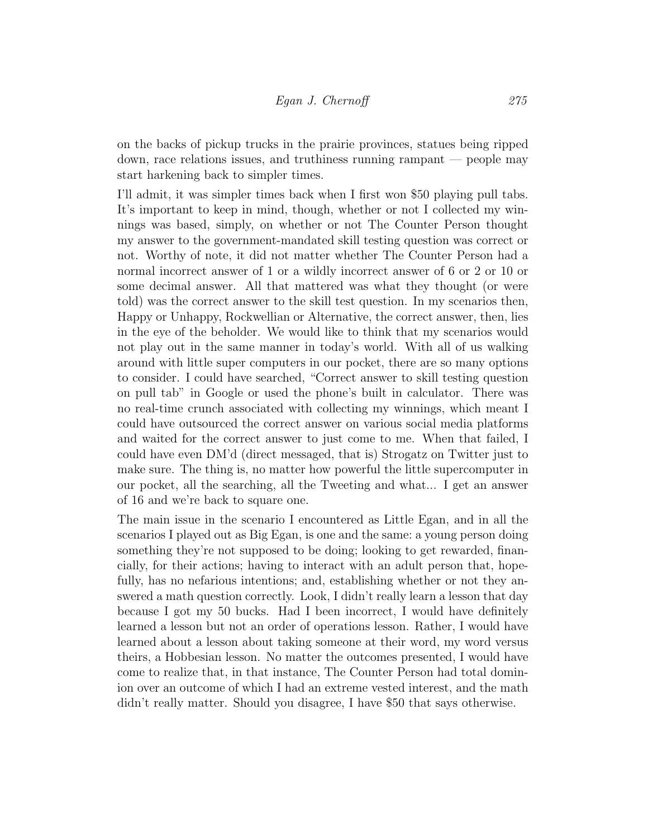on the backs of pickup trucks in the prairie provinces, statues being ripped down, race relations issues, and truthiness running rampant — people may start harkening back to simpler times.

I'll admit, it was simpler times back when I first won \$50 playing pull tabs. It's important to keep in mind, though, whether or not I collected my winnings was based, simply, on whether or not The Counter Person thought my answer to the government-mandated skill testing question was correct or not. Worthy of note, it did not matter whether The Counter Person had a normal incorrect answer of 1 or a wildly incorrect answer of 6 or 2 or 10 or some decimal answer. All that mattered was what they thought (or were told) was the correct answer to the skill test question. In my scenarios then, Happy or Unhappy, Rockwellian or Alternative, the correct answer, then, lies in the eye of the beholder. We would like to think that my scenarios would not play out in the same manner in today's world. With all of us walking around with little super computers in our pocket, there are so many options to consider. I could have searched, "Correct answer to skill testing question on pull tab" in Google or used the phone's built in calculator. There was no real-time crunch associated with collecting my winnings, which meant I could have outsourced the correct answer on various social media platforms and waited for the correct answer to just come to me. When that failed, I could have even DM'd (direct messaged, that is) Strogatz on Twitter just to make sure. The thing is, no matter how powerful the little supercomputer in our pocket, all the searching, all the Tweeting and what... I get an answer of 16 and we're back to square one.

The main issue in the scenario I encountered as Little Egan, and in all the scenarios I played out as Big Egan, is one and the same: a young person doing something they're not supposed to be doing; looking to get rewarded, financially, for their actions; having to interact with an adult person that, hopefully, has no nefarious intentions; and, establishing whether or not they answered a math question correctly. Look, I didn't really learn a lesson that day because I got my 50 bucks. Had I been incorrect, I would have definitely learned a lesson but not an order of operations lesson. Rather, I would have learned about a lesson about taking someone at their word, my word versus theirs, a Hobbesian lesson. No matter the outcomes presented, I would have come to realize that, in that instance, The Counter Person had total dominion over an outcome of which I had an extreme vested interest, and the math didn't really matter. Should you disagree, I have \$50 that says otherwise.